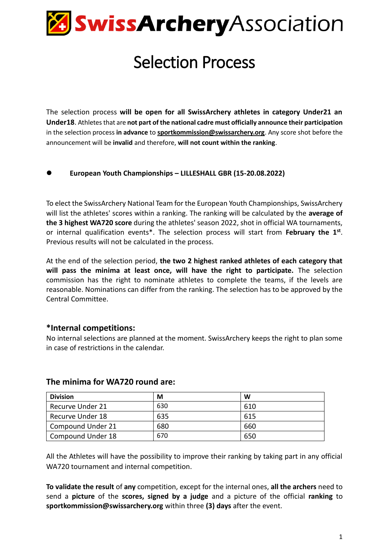

## Selection Process

The selection process **will be open for all SwissArchery athletes in category Under21 an Under18**. Athletes that are **not part of the national cadre must officially announce their participation** in the selection process **in advance** to **[sportkommission@swissarchery.org](mailto:sportkommission@swissarchery.org)**. Any score shot before the announcement will be **invalid** and therefore, **will not count within the ranking**.

#### ⚫ **European Youth Championships – LILLESHALL GBR (15-20.08.2022)**

To elect the SwissArchery National Team for the European Youth Championships, SwissArchery will list the athletes' scores within a ranking. The ranking will be calculated by the **average of the 3 highest WA720 score** during the athletes' season 2022, shot in official WA tournaments, or internal qualification events\*. The selection process will start from **February the 1st** . Previous results will not be calculated in the process.

At the end of the selection period, **the two 2 highest ranked athletes of each category that will pass the minima at least once, will have the right to participate.** The selection commission has the right to nominate athletes to complete the teams, if the levels are reasonable. Nominations can differ from the ranking. The selection has to be approved by the Central Committee.

#### **\*Internal competitions:**

No internal selections are planned at the moment. SwissArchery keeps the right to plan some in case of restrictions in the calendar.

| <b>Division</b>   | М   | W   |
|-------------------|-----|-----|
| Recurve Under 21  | 630 | 610 |
| Recurve Under 18  | 635 | 615 |
| Compound Under 21 | 680 | 660 |
| Compound Under 18 | 670 | 650 |

#### **The minima for WA720 round are:**

All the Athletes will have the possibility to improve their ranking by taking part in any official WA720 tournament and internal competition.

**To validate the result** of **any** competition, except for the internal ones, **all the archers** need to send a **picture** of the **scores, signed by a judge** and a picture of the official **ranking** to **sportkommission@swissarchery.org** within three **(3) days** after the event.